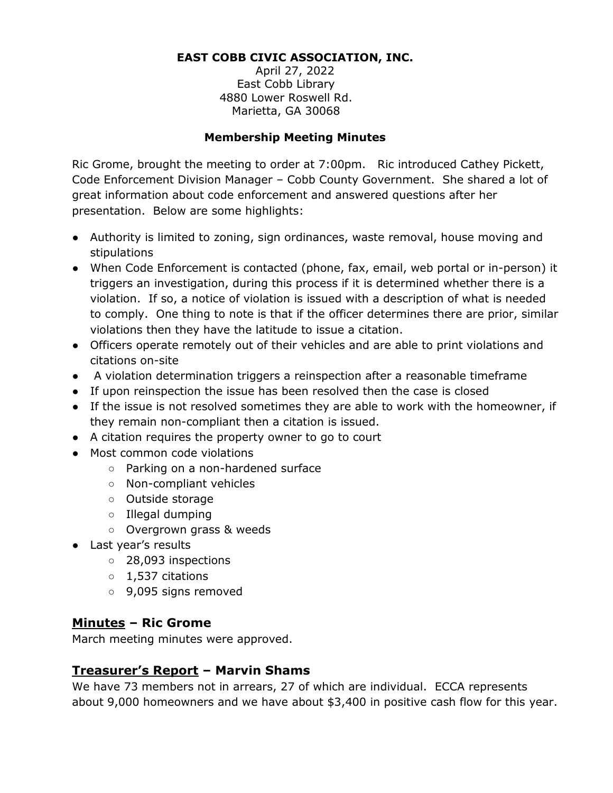#### **EAST COBB CIVIC ASSOCIATION, INC.**

April 27, 2022 East Cobb Library 4880 Lower Roswell Rd. Marietta, GA 30068

#### **Membership Meeting Minutes**

Ric Grome, brought the meeting to order at 7:00pm. Ric introduced Cathey Pickett, Code Enforcement Division Manager – Cobb County Government. She shared a lot of great information about code enforcement and answered questions after her presentation. Below are some highlights:

- Authority is limited to zoning, sign ordinances, waste removal, house moving and stipulations
- When Code Enforcement is contacted (phone, fax, email, web portal or in-person) it triggers an investigation, during this process if it is determined whether there is a violation. If so, a notice of violation is issued with a description of what is needed to comply. One thing to note is that if the officer determines there are prior, similar violations then they have the latitude to issue a citation.
- Officers operate remotely out of their vehicles and are able to print violations and citations on-site
- A violation determination triggers a reinspection after a reasonable timeframe
- If upon reinspection the issue has been resolved then the case is closed
- If the issue is not resolved sometimes they are able to work with the homeowner, if they remain non-compliant then a citation is issued.
- A citation requires the property owner to go to court
- Most common code violations
	- Parking on a non-hardened surface
	- Non-compliant vehicles
	- Outside storage
	- Illegal dumping
	- Overgrown grass & weeds
- Last year's results
	- 28,093 inspections
	- 1,537 citations
	- 9,095 signs removed

## **Minutes – Ric Grome**

March meeting minutes were approved.

## **Treasurer's Report – Marvin Shams**

We have 73 members not in arrears, 27 of which are individual. ECCA represents about 9,000 homeowners and we have about \$3,400 in positive cash flow for this year.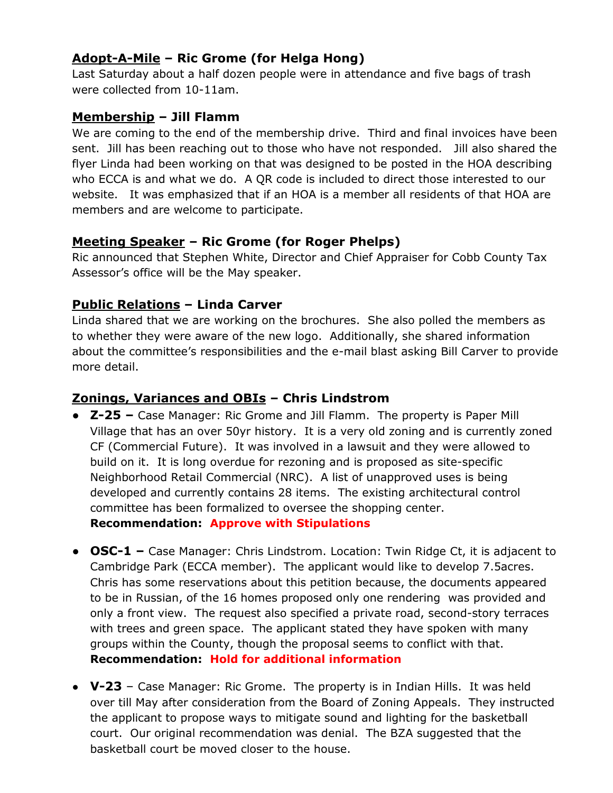# **Adopt-A-Mile – Ric Grome (for Helga Hong)**

Last Saturday about a half dozen people were in attendance and five bags of trash were collected from 10-11am.

### **Membership – Jill Flamm**

We are coming to the end of the membership drive. Third and final invoices have been sent. Jill has been reaching out to those who have not responded. Jill also shared the flyer Linda had been working on that was designed to be posted in the HOA describing who ECCA is and what we do. A QR code is included to direct those interested to our website. It was emphasized that if an HOA is a member all residents of that HOA are members and are welcome to participate.

## **Meeting Speaker – Ric Grome (for Roger Phelps)**

Ric announced that Stephen White, Director and Chief Appraiser for Cobb County Tax Assessor's office will be the May speaker.

# **Public Relations – Linda Carver**

Linda shared that we are working on the brochures. She also polled the members as to whether they were aware of the new logo. Additionally, she shared information about the committee's responsibilities and the e-mail blast asking Bill Carver to provide more detail.

# **Zonings, Variances and OBIs – Chris Lindstrom**

- **Z-25 –** Case Manager: Ric Grome and Jill Flamm. The property is Paper Mill Village that has an over 50yr history. It is a very old zoning and is currently zoned CF (Commercial Future). It was involved in a lawsuit and they were allowed to build on it. It is long overdue for rezoning and is proposed as site-specific Neighborhood Retail Commercial (NRC). A list of unapproved uses is being developed and currently contains 28 items. The existing architectural control committee has been formalized to oversee the shopping center. **Recommendation: Approve with Stipulations**
- **OSC-1 –** Case Manager: Chris Lindstrom. Location: Twin Ridge Ct, it is adjacent to Cambridge Park (ECCA member). The applicant would like to develop 7.5acres. Chris has some reservations about this petition because, the documents appeared to be in Russian, of the 16 homes proposed only one rendering was provided and only a front view. The request also specified a private road, second-story terraces with trees and green space. The applicant stated they have spoken with many groups within the County, though the proposal seems to conflict with that. **Recommendation: Hold for additional information**
- **V-23**  Case Manager: Ric Grome. The property is in Indian Hills. It was held over till May after consideration from the Board of Zoning Appeals. They instructed the applicant to propose ways to mitigate sound and lighting for the basketball court. Our original recommendation was denial. The BZA suggested that the basketball court be moved closer to the house.